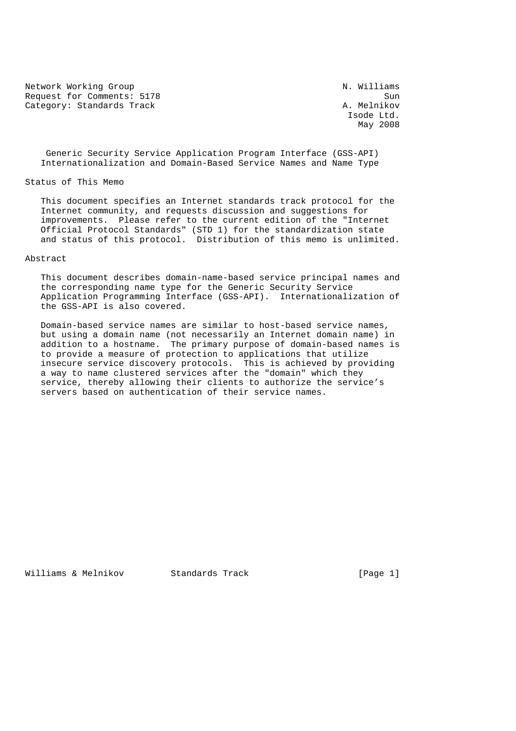Network Working Group Network Working Group N. Williams Request for Comments: 5178 Sun<br>Category: Standards Track Sun Sun (A. Melnikov Category: Standards Track

Isode Ltd.<br>May 2008 May 2008 and the contract of the May 2008  $\mu$ 

 Generic Security Service Application Program Interface (GSS-API) Internationalization and Domain-Based Service Names and Name Type

## Status of This Memo

 This document specifies an Internet standards track protocol for the Internet community, and requests discussion and suggestions for improvements. Please refer to the current edition of the "Internet Official Protocol Standards" (STD 1) for the standardization state and status of this protocol. Distribution of this memo is unlimited.

### Abstract

 This document describes domain-name-based service principal names and the corresponding name type for the Generic Security Service Application Programming Interface (GSS-API). Internationalization of the GSS-API is also covered.

 Domain-based service names are similar to host-based service names, but using a domain name (not necessarily an Internet domain name) in addition to a hostname. The primary purpose of domain-based names is to provide a measure of protection to applications that utilize insecure service discovery protocols. This is achieved by providing a way to name clustered services after the "domain" which they service, thereby allowing their clients to authorize the service's servers based on authentication of their service names.

Williams & Melnikov Standards Track [Page 1]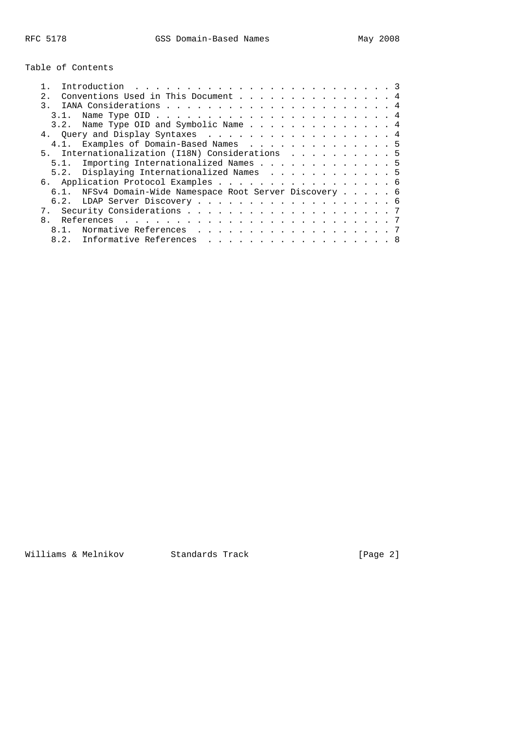Table of Contents

|                                                          | Conventions Used in This Document 4       |  |  |  |  |  |  |
|----------------------------------------------------------|-------------------------------------------|--|--|--|--|--|--|
|                                                          |                                           |  |  |  |  |  |  |
|                                                          |                                           |  |  |  |  |  |  |
|                                                          | 3.2. Name Type OID and Symbolic Name 4    |  |  |  |  |  |  |
| 4. Query and Display Syntaxes 4                          |                                           |  |  |  |  |  |  |
|                                                          | 4.1. Examples of Domain-Based Names 5     |  |  |  |  |  |  |
| 5. Internationalization (I18N) Considerations 5          |                                           |  |  |  |  |  |  |
|                                                          | 5.1. Importing Internationalized Names 5  |  |  |  |  |  |  |
|                                                          | 5.2. Displaying Internationalized Names 5 |  |  |  |  |  |  |
| 6. Application Protocol Examples 6                       |                                           |  |  |  |  |  |  |
| 6.1. NFSv4 Domain-Wide Namespace Root Server Discovery 6 |                                           |  |  |  |  |  |  |
|                                                          |                                           |  |  |  |  |  |  |
|                                                          |                                           |  |  |  |  |  |  |
|                                                          |                                           |  |  |  |  |  |  |
| 8.1.                                                     | Normative References 7                    |  |  |  |  |  |  |
|                                                          | 8.2. Informative References 8             |  |  |  |  |  |  |

Williams & Melnikov Standards Track [Page 2]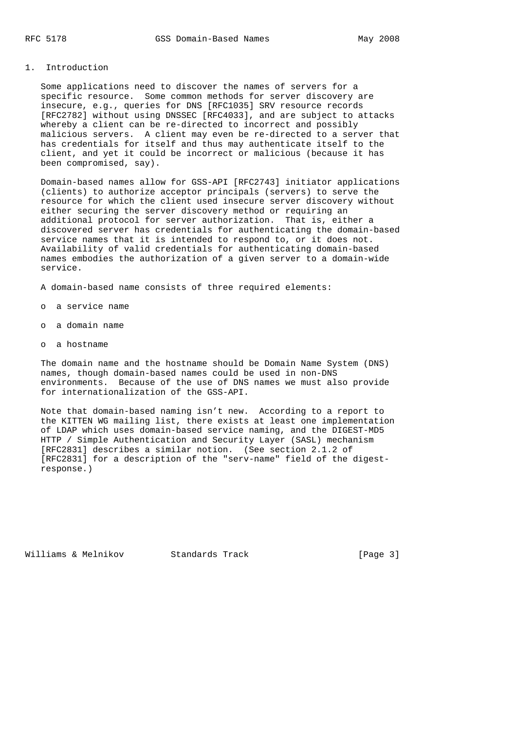# 1. Introduction

 Some applications need to discover the names of servers for a specific resource. Some common methods for server discovery are insecure, e.g., queries for DNS [RFC1035] SRV resource records [RFC2782] without using DNSSEC [RFC4033], and are subject to attacks whereby a client can be re-directed to incorrect and possibly malicious servers. A client may even be re-directed to a server that has credentials for itself and thus may authenticate itself to the client, and yet it could be incorrect or malicious (because it has been compromised, say).

 Domain-based names allow for GSS-API [RFC2743] initiator applications (clients) to authorize acceptor principals (servers) to serve the resource for which the client used insecure server discovery without either securing the server discovery method or requiring an additional protocol for server authorization. That is, either a discovered server has credentials for authenticating the domain-based service names that it is intended to respond to, or it does not. Availability of valid credentials for authenticating domain-based names embodies the authorization of a given server to a domain-wide service.

A domain-based name consists of three required elements:

- o a service name
- o a domain name
- o a hostname

 The domain name and the hostname should be Domain Name System (DNS) names, though domain-based names could be used in non-DNS environments. Because of the use of DNS names we must also provide for internationalization of the GSS-API.

 Note that domain-based naming isn't new. According to a report to the KITTEN WG mailing list, there exists at least one implementation of LDAP which uses domain-based service naming, and the DIGEST-MD5 HTTP / Simple Authentication and Security Layer (SASL) mechanism [RFC2831] describes a similar notion. (See section 2.1.2 of [RFC2831] for a description of the "serv-name" field of the digest response.)

Williams & Melnikov Standards Track [Page 3]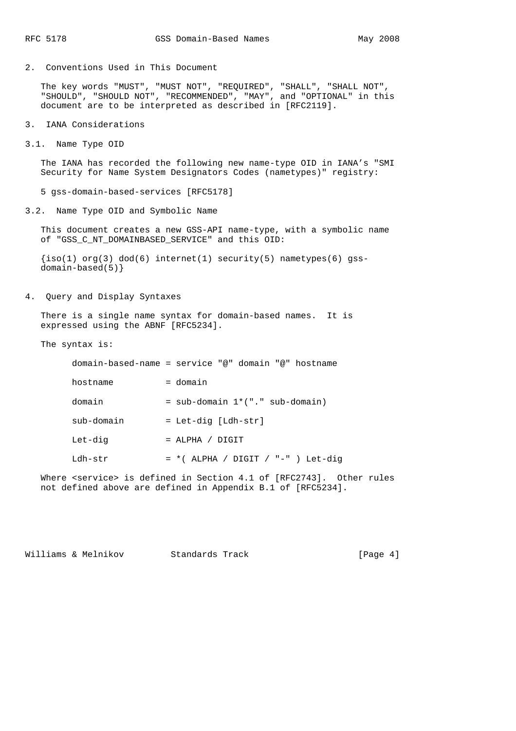2. Conventions Used in This Document

 The key words "MUST", "MUST NOT", "REQUIRED", "SHALL", "SHALL NOT", "SHOULD", "SHOULD NOT", "RECOMMENDED", "MAY", and "OPTIONAL" in this document are to be interpreted as described in [RFC2119].

- 3. IANA Considerations
- 3.1. Name Type OID

 The IANA has recorded the following new name-type OID in IANA's "SMI Security for Name System Designators Codes (nametypes)" registry:

5 gss-domain-based-services [RFC5178]

3.2. Name Type OID and Symbolic Name

 This document creates a new GSS-API name-type, with a symbolic name of "GSS\_C\_NT\_DOMAINBASED\_SERVICE" and this OID:

 $\{iso(1) \text{ org}(3) \text{ dod}(6) \text{ internet}(1) \text{ security}(5) \text{nametypes}(6) \text{ qss-} \}$ domain-based(5)}

4. Query and Display Syntaxes

 There is a single name syntax for domain-based names. It is expressed using the ABNF [RFC5234].

The syntax is:

|            | domain-based-name = service "@" domain "@" hostname |  |
|------------|-----------------------------------------------------|--|
| hostname   | = domain                                            |  |
| domain     | $=$ sub-domain $1*(".$ sub-domain)                  |  |
| sub-domain | = Let-dig [Ldh-str]                                 |  |
| Let-dig    | $=$ ALPHA / DIGIT                                   |  |
| Idh-str    | $= *$ (ALPHA / DIGIT / "-" ) Let-dig                |  |
|            |                                                     |  |

Where <service> is defined in Section 4.1 of [RFC2743]. Other rules not defined above are defined in Appendix B.1 of [RFC5234].

Williams & Melnikov Standards Track (Page 4)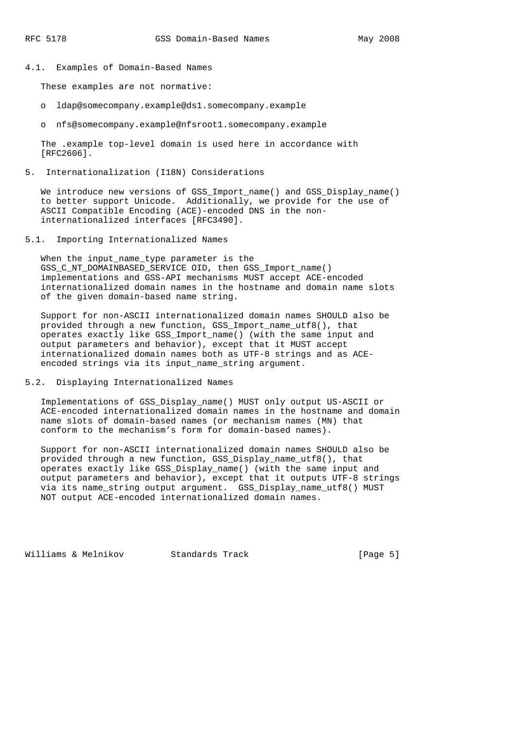4.1. Examples of Domain-Based Names

These examples are not normative:

- o ldap@somecompany.example@ds1.somecompany.example
- o nfs@somecompany.example@nfsroot1.somecompany.example

 The .example top-level domain is used here in accordance with [RFC2606].

5. Internationalization (I18N) Considerations

We introduce new versions of GSS\_Import\_name() and GSS\_Display name() to better support Unicode. Additionally, we provide for the use of ASCII Compatible Encoding (ACE)-encoded DNS in the non internationalized interfaces [RFC3490].

5.1. Importing Internationalized Names

 When the input\_name\_type parameter is the GSS\_C\_NT\_DOMAINBASED\_SERVICE OID, then GSS\_Import\_name() implementations and GSS-API mechanisms MUST accept ACE-encoded internationalized domain names in the hostname and domain name slots of the given domain-based name string.

 Support for non-ASCII internationalized domain names SHOULD also be provided through a new function, GSS\_Import\_name\_utf8(), that operates exactly like GSS\_Import\_name() (with the same input and output parameters and behavior), except that it MUST accept internationalized domain names both as UTF-8 strings and as ACE encoded strings via its input\_name\_string argument.

5.2. Displaying Internationalized Names

 Implementations of GSS\_Display\_name() MUST only output US-ASCII or ACE-encoded internationalized domain names in the hostname and domain name slots of domain-based names (or mechanism names (MN) that conform to the mechanism's form for domain-based names).

 Support for non-ASCII internationalized domain names SHOULD also be provided through a new function, GSS\_Display\_name\_utf8(), that operates exactly like GSS\_Display\_name() (with the same input and output parameters and behavior), except that it outputs UTF-8 strings via its name\_string output argument. GSS\_Display\_name\_utf8() MUST NOT output ACE-encoded internationalized domain names.

Williams & Melnikov Standards Track [Page 5]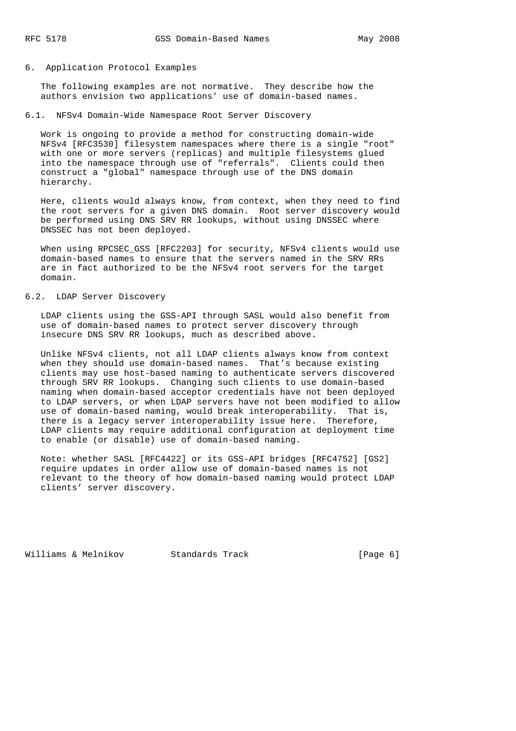#### 6. Application Protocol Examples

 The following examples are not normative. They describe how the authors envision two applications' use of domain-based names.

6.1. NFSv4 Domain-Wide Namespace Root Server Discovery

 Work is ongoing to provide a method for constructing domain-wide NFSv4 [RFC3530] filesystem namespaces where there is a single "root" with one or more servers (replicas) and multiple filesystems glued into the namespace through use of "referrals". Clients could then construct a "global" namespace through use of the DNS domain hierarchy.

 Here, clients would always know, from context, when they need to find the root servers for a given DNS domain. Root server discovery would be performed using DNS SRV RR lookups, without using DNSSEC where DNSSEC has not been deployed.

 When using RPCSEC\_GSS [RFC2203] for security, NFSv4 clients would use domain-based names to ensure that the servers named in the SRV RRs are in fact authorized to be the NFSv4 root servers for the target domain.

# 6.2. LDAP Server Discovery

 LDAP clients using the GSS-API through SASL would also benefit from use of domain-based names to protect server discovery through insecure DNS SRV RR lookups, much as described above.

 Unlike NFSv4 clients, not all LDAP clients always know from context when they should use domain-based names. That's because existing clients may use host-based naming to authenticate servers discovered through SRV RR lookups. Changing such clients to use domain-based naming when domain-based acceptor credentials have not been deployed to LDAP servers, or when LDAP servers have not been modified to allow use of domain-based naming, would break interoperability. That is, there is a legacy server interoperability issue here. Therefore, LDAP clients may require additional configuration at deployment time to enable (or disable) use of domain-based naming.

 Note: whether SASL [RFC4422] or its GSS-API bridges [RFC4752] [GS2] require updates in order allow use of domain-based names is not relevant to the theory of how domain-based naming would protect LDAP clients' server discovery.

Williams & Melnikov Standards Track (Page 6)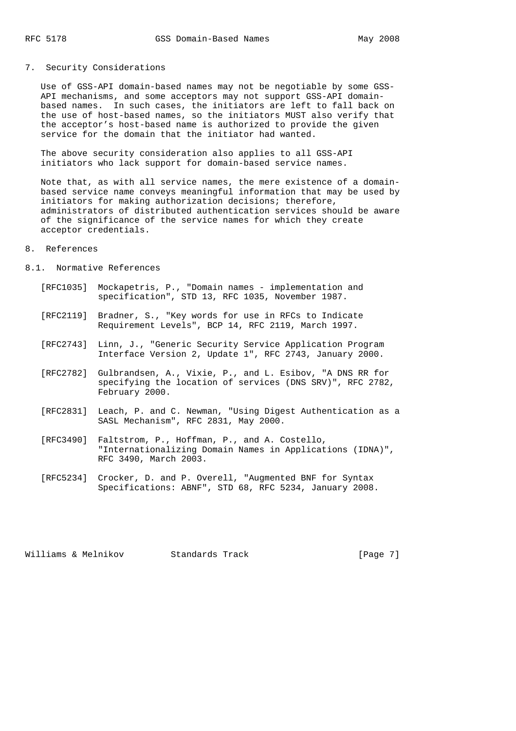# 7. Security Considerations

 Use of GSS-API domain-based names may not be negotiable by some GSS- API mechanisms, and some acceptors may not support GSS-API domain based names. In such cases, the initiators are left to fall back on the use of host-based names, so the initiators MUST also verify that the acceptor's host-based name is authorized to provide the given service for the domain that the initiator had wanted.

 The above security consideration also applies to all GSS-API initiators who lack support for domain-based service names.

 Note that, as with all service names, the mere existence of a domain based service name conveys meaningful information that may be used by initiators for making authorization decisions; therefore, administrators of distributed authentication services should be aware of the significance of the service names for which they create acceptor credentials.

## 8. References

- 8.1. Normative References
	- [RFC1035] Mockapetris, P., "Domain names implementation and specification", STD 13, RFC 1035, November 1987.
	- [RFC2119] Bradner, S., "Key words for use in RFCs to Indicate Requirement Levels", BCP 14, RFC 2119, March 1997.
	- [RFC2743] Linn, J., "Generic Security Service Application Program Interface Version 2, Update 1", RFC 2743, January 2000.
	- [RFC2782] Gulbrandsen, A., Vixie, P., and L. Esibov, "A DNS RR for specifying the location of services (DNS SRV)", RFC 2782, February 2000.
	- [RFC2831] Leach, P. and C. Newman, "Using Digest Authentication as a SASL Mechanism", RFC 2831, May 2000.
	- [RFC3490] Faltstrom, P., Hoffman, P., and A. Costello, "Internationalizing Domain Names in Applications (IDNA)", RFC 3490, March 2003.
	- [RFC5234] Crocker, D. and P. Overell, "Augmented BNF for Syntax Specifications: ABNF", STD 68, RFC 5234, January 2008.

Williams & Melnikov Standards Track [Page 7]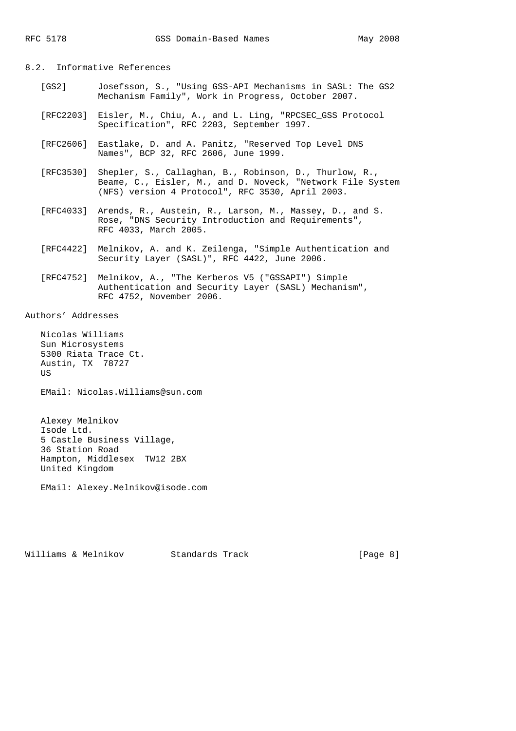8.2. Informative References

- [GS2] Josefsson, S., "Using GSS-API Mechanisms in SASL: The GS2 Mechanism Family", Work in Progress, October 2007.
- [RFC2203] Eisler, M., Chiu, A., and L. Ling, "RPCSEC\_GSS Protocol Specification", RFC 2203, September 1997.
- [RFC2606] Eastlake, D. and A. Panitz, "Reserved Top Level DNS Names", BCP 32, RFC 2606, June 1999.
- [RFC3530] Shepler, S., Callaghan, B., Robinson, D., Thurlow, R., Beame, C., Eisler, M., and D. Noveck, "Network File System (NFS) version 4 Protocol", RFC 3530, April 2003.
- [RFC4033] Arends, R., Austein, R., Larson, M., Massey, D., and S. Rose, "DNS Security Introduction and Requirements", RFC 4033, March 2005.
- [RFC4422] Melnikov, A. and K. Zeilenga, "Simple Authentication and Security Layer (SASL)", RFC 4422, June 2006.
- [RFC4752] Melnikov, A., "The Kerberos V5 ("GSSAPI") Simple Authentication and Security Layer (SASL) Mechanism", RFC 4752, November 2006.

Authors' Addresses

 Nicolas Williams Sun Microsystems 5300 Riata Trace Ct. Austin, TX 78727 US

EMail: Nicolas.Williams@sun.com

 Alexey Melnikov Isode Ltd. 5 Castle Business Village, 36 Station Road Hampton, Middlesex TW12 2BX United Kingdom

EMail: Alexey.Melnikov@isode.com

Williams & Melnikov Standards Track [Page 8]